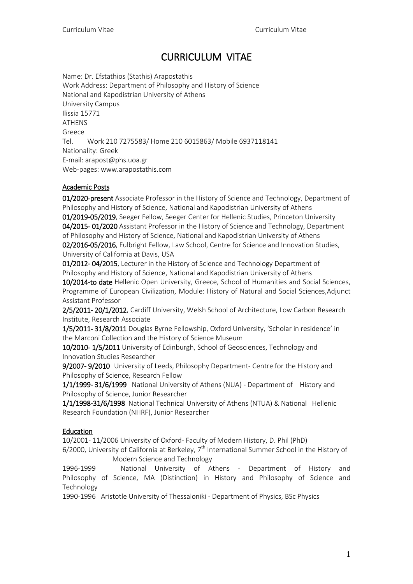# CURRICULUM VITAE

Name: Dr. Efstathios (Stathis) Arapostathis Work Address: Department of Philosophy and History of Science National and Kapodistrian University of Athens University Campus Ilissia 15771 ATHENS Greece Tel. Work 210 7275583/ Home 210 6015863/ Mobile 6937118141 Nationality: Greek E-mail: arapost@phs.uoa.gr Web-pages: [www.arapostathis.com](http://www.arapostathis.com/)

## Academic Posts

01/2020-present Associate Professor in the History of Science and Technology, Department of Philosophy and History of Science, National and Kapodistrian University of Athens 01/2019-05/2019, Seeger Fellow, Seeger Center for Hellenic Studies, Princeton University 04/2015- 01/2020 Assistant Professor in the History of Science and Technology, Department of Philosophy and History of Science, National and Kapodistrian University of Athens 02/2016-05/2016, Fulbright Fellow, Law School, Centre for Science and Innovation Studies, University of California at Davis, USA

01/2012- 04/2015, Lecturer in the History of Science and Technology Department of Philosophy and History of Science, National and Kapodistrian University of Athens

10/2014-to date Hellenic Open University, Greece, School of Humanities and Social Sciences, Programme of European Civilization, Module: History of Natural and Social Sciences,Adjunct Assistant Professor

2/5/2011- 20/1/2012, Cardiff University, Welsh School of Architecture, Low Carbon Research Institute, Research Associate

1/5/2011- 31/8/2011 Douglas Byrne Fellowship, Oxford University, 'Scholar in residence' in the Marconi Collection and the History of Science Museum

10/2010- 1/5/2011 University of Edinburgh, School of Geosciences, Technology and Innovation Studies Researcher

9/2007- 9/2010 University of Leeds, Philosophy Department- Centre for the History and Philosophy of Science, Research Fellow

1/1/1999- 31/6/1999 National University of Athens (NUA) - Department of History and Philosophy of Science, Junior Researcher

1/1/1998-31/6/1998 National Technical University of Athens (NTUA) & National Hellenic Research Foundation (NHRF), Junior Researcher

### Education

10/2001- 11/2006 University of Oxford- Faculty of Modern History, D. Phil (PhD)

6/2000, University of California at Berkeley,  $7<sup>th</sup>$  International Summer School in the History of Modern Science and Technology

1996-1999 National University of Athens - Department of History and Philosophy of Science, MA (Distinction) in History and Philosophy of Science and Technology

1990-1996 Aristotle University of Thessaloniki - Department of Physics, BSc Physics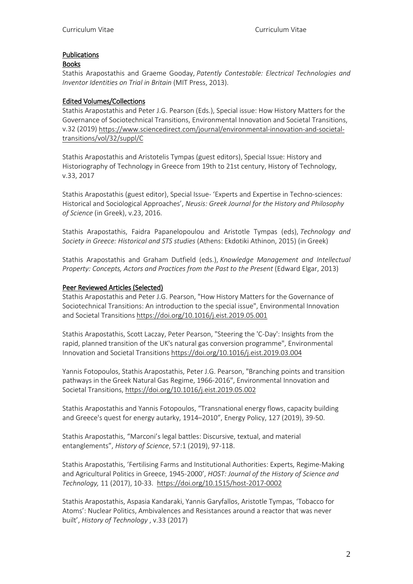## Publications

### Books

Stathis Arapostathis and Graeme Gooday, *Patently Contestable: Electrical Technologies and Inventor Identities on Trial in Britain* (MIT Press, 2013).

## Edited Volumes/Collections

Stathis Arapostathis and Peter J.G. Pearson (Eds.), Special issue: How History Matters for the Governance of Sociotechnical Transitions, Environmental Innovation and Societal Transitions, v.32 (2019) [https://www.sciencedirect.com/journal/environmental-innovation-and-societal](https://www.sciencedirect.com/journal/environmental-innovation-and-societal-transitions/vol/32/suppl/C)[transitions/vol/32/suppl/C](https://www.sciencedirect.com/journal/environmental-innovation-and-societal-transitions/vol/32/suppl/C)

Stathis Arapostathis and Aristotelis Tympas (guest editors), Special Issue: History and Historiography of Technology in Greece from 19th to 21st century, History of Technology, v.33, 2017

Stathis Arapostathis (guest editor), Special Issue- 'Experts and Expertise in Techno-sciences: Historical and Sociological Approaches', *Neusis: Greek Journal for the History and Philosophy of Science* (in Greek), v.23, 2016.

Stathis Arapostathis, Faidra Papanelopoulou and Aristotle Tympas (eds), *Technology and Society in Greece: Historical and STS studies* (Athens: Ekdotiki Athinon, 2015) (in Greek)

Stathis Arapostathis and Graham Dutfield (eds.), *Knowledge Management and Intellectual Property: Concepts, Actors and Practices from the Past to the Present* (Edward Elgar, 2013)

### Peer Reviewed Articles (Selected)

Stathis Arapostathis and Peter J.G. Pearson, "How History Matters for the Governance of Sociotechnical Transitions: An introduction to the special issue", Environmental Innovation and Societal Transitions <https://doi.org/10.1016/j.eist.2019.05.001>

Stathis Arapostathis, Scott Laczay, Peter Pearson, "Steering the 'C-Day': Insights from the rapid, planned transition of the UK's natural gas conversion programme", Environmental Innovation and Societal Transitions <https://doi.org/10.1016/j.eist.2019.03.004>

Yannis Fotopoulos, Stathis Arapostathis, Peter J.G. Pearson, "Branching points and transition pathways in the Greek Natural Gas Regime, 1966-2016", Environmental Innovation and Societal Transitions, <https://doi.org/10.1016/j.eist.2019.05.002>

Stathis Arapostathis and Yannis Fotopoulos, "Transnational energy flows, capacity building and Greece's quest for energy autarky, 1914–2010", Energy Policy, 127 (2019), 39-50.

Stathis Arapostathis, "Marconi's legal battles: Discursive, textual, and material entanglements", *History of Science*, 57:1 (2019), 97-118.

Stathis Arapostathis, 'Fertilising Farms and Institutional Authorities: Experts, Regime-Making and Agricultural Politics in Greece, 1945-2000', *HOST: Journal of the History of Science and Technology,* 11 (2017), 10-33. <https://doi.org/10.1515/host-2017-0002>

Stathis Arapostathis, Aspasia Kandaraki, Yannis Garyfallos, Aristotle Tympas, 'Tobacco for Atoms': Nuclear Politics, Ambivalences and Resistances around a reactor that was never built', *History of Technology* , v.33 (2017)